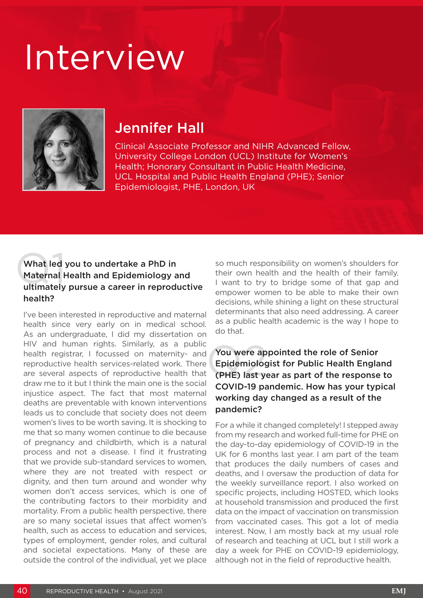# Interview



## Jennifer Hall

Clinical Associate Professor and NIHR Advanced Fellow, University College London (UCL) Institute for Women's Health; Honorary Consultant in Public Health Medicine, UCL Hospital and Public Health England (PHE); Senior Epidemiologist, PHE, London, UK

#### What led<br>Maternal H<br>ultimately What led you to undertake a PhD in Maternal Health and Epidemiology and ultimately pursue a career in reproductive health?

I've been interested in reproductive and maternal health since very early on in medical school. As an undergraduate, I did my dissertation on HIV and human rights. Similarly, as a public health registrar, I focussed on maternity- and reproductive health services-related work. There are several aspects of reproductive health that draw me to it but I think the main one is the social injustice aspect. The fact that most maternal deaths are preventable with known interventions leads us to conclude that society does not deem women's lives to be worth saving. It is shocking to me that so many women continue to die because of pregnancy and childbirth, which is a natural process and not a disease. I find it frustrating that we provide sub-standard services to women, where they are not treated with respect or dignity, and then turn around and wonder why women don't access services, which is one of the contributing factors to their morbidity and mortality. From a public health perspective, there are so many societal issues that affect women's health, such as access to education and services, types of employment, gender roles, and cultural and societal expectations. Many of these are outside the control of the individual, yet we place

so much responsibility on women's shoulders for their own health and the health of their family. I want to try to bridge some of that gap and empower women to be able to make their own decisions, while shining a light on these structural determinants that also need addressing. A career as a public health academic is the way I hope to do that.

#### You were ap<br>Epidemiolog<br>(PHE) last ye You were appointed the role of Senior Epidemiologist for Public Health England (PHE) last year as part of the response to COVID-19 pandemic. How has your typical working day changed as a result of the pandemic?

For a while it changed completely! I stepped away from my research and worked full-time for PHE on the day-to-day epidemiology of COVID-19 in the UK for 6 months last year. I am part of the team that produces the daily numbers of cases and deaths, and I oversaw the production of data for the weekly surveillance report. I also worked on specific projects, including HOSTED, which looks at household transmission and produced the first data on the impact of vaccination on transmission from vaccinated cases. This got a lot of media interest. Now, I am mostly back at my usual role of research and teaching at UCL but I still work a day a week for PHE on COVID-19 epidemiology, although not in the field of reproductive health.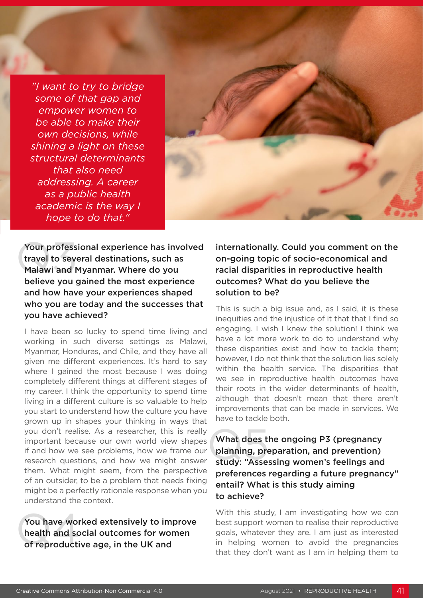*"I want to try to bridge some of that gap and empower women to be able to make their own decisions, while shining a light on these structural determinants that also need addressing. A career as a public health academic is the way I hope to do that."*



Your profess<br>travel to sever<br>Malawi and N Your professional experience has involved travel to several destinations, such as Malawi and Myanmar. Where do you believe you gained the most experience and how have your experiences shaped who you are today and the successes that you have achieved?

I have been so lucky to spend time living and working in such diverse settings as Malawi, Myanmar, Honduras, and Chile, and they have all given me different experiences. It's hard to say where I gained the most because I was doing completely different things at different stages of my career. I think the opportunity to spend time living in a different culture is so valuable to help you start to understand how the culture you have grown up in shapes your thinking in ways that you don't realise. As a researcher, this is really important because our own world view shapes if and how we see problems, how we frame our research questions, and how we might answer them. What might seem, from the perspective of an outsider, to be a problem that needs fixing might be a perfectly rationale response when you understand the context.

You have work<br>health and so<br>of reproduction You have worked extensively to improve health and social outcomes for women of reproductive age, in the UK and

internationally. Could you comment on the on-going topic of socio-economical and racial disparities in reproductive health outcomes? What do you believe the solution to be?

This is such a big issue and, as I said, it is these inequities and the injustice of it that that I find so engaging. I wish I knew the solution! I think we have a lot more work to do to understand why these disparities exist and how to tackle them; however, I do not think that the solution lies solely within the health service. The disparities that we see in reproductive health outcomes have their roots in the wider determinants of health, although that doesn't mean that there aren't improvements that can be made in services. We have to tackle both.

What does t<br>planning, pre<br>study: "Asse What does the ongoing P3 (pregnancy planning, preparation, and prevention) study: "Assessing women's feelings and preferences regarding a future pregnancy" entail? What is this study aiming to achieve?

With this study, I am investigating how we can best support women to realise their reproductive goals, whatever they are. I am just as interested in helping women to avoid the pregnancies that they don't want as I am in helping them to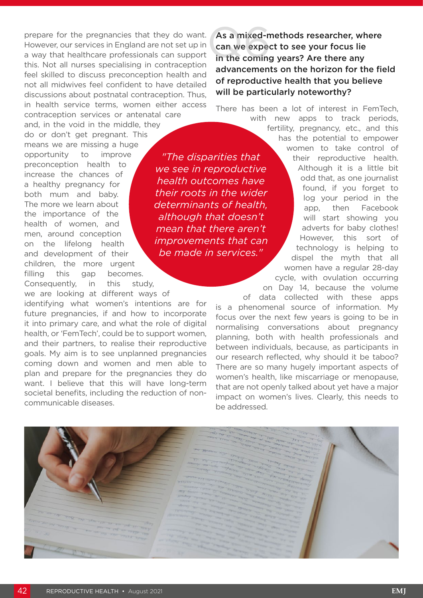prepare for the pregnancies that they do want. However, our services in England are not set up in a way that healthcare professionals can support this. Not all nurses specialising in contraception feel skilled to discuss preconception health and not all midwives feel confident to have detailed discussions about postnatal contraception. Thus, in health service terms, women either access contraception services or antenatal care

and, in the void in the middle, they do or don't get pregnant. This means we are missing a huge opportunity to improve preconception health to increase the chances of a healthy pregnancy for both mum and baby. The more we learn about the importance of the health of women, and men, around conception on the lifelong health and development of their children, the more urgent filling this gap becomes. Consequently, in this study,

we are looking at different ways of identifying what women's intentions are for future pregnancies, if and how to incorporate it into primary care, and what the role of digital health, or 'FemTech', could be to support women, and their partners, to realise their reproductive goals. My aim is to see unplanned pregnancies coming down and women and men able to plan and prepare for the pregnancies they do want. I believe that this will have long-term societal benefits, including the reduction of noncommunicable diseases.

As a mixed-methods researcher, where can we expect to see your focus lie As a mixed-methods researcher, wh<br>can we expect to see your focus lie<br>in the coming years? Are there any advancements on the horizon for the field of reproductive health that you believe will be particularly noteworthy?

There has been a lot of interest in FemTech,

*"The disparities that we see in reproductive health outcomes have their roots in the wider determinants of health, although that doesn't mean that there aren't improvements that can be made in services."* 

with new apps to track periods, fertility, pregnancy, etc., and this has the potential to empower women to take control of their reproductive health. Although it is a little bit odd that, as one journalist found, if you forget to log your period in the app, then Facebook will start showing you adverts for baby clothes! However, this sort of technology is helping to dispel the myth that all women have a regular 28-day cycle, with ovulation occurring on Day 14, because the volume

of data collected with these apps is a phenomenal source of information. My focus over the next few years is going to be in normalising conversations about pregnancy planning, both with health professionals and between individuals, because, as participants in our research reflected, why should it be taboo? There are so many hugely important aspects of women's health, like miscarriage or menopause, that are not openly talked about yet have a major impact on women's lives. Clearly, this needs to be addressed.